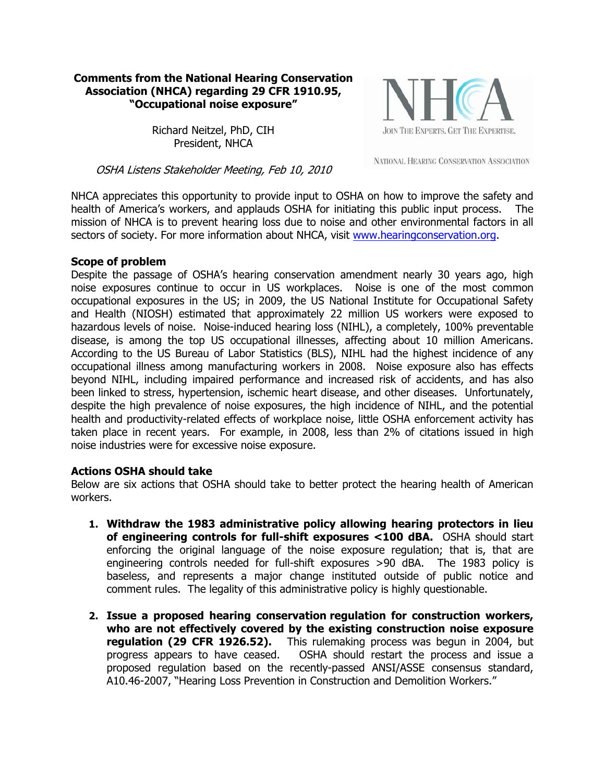## **Comments from the National Hearing Conservation Association (NHCA) regarding 29 CFR 1910.95, "Occupational noise exposure"**

JOIN THE EXPERTS. GET THE EXPERTISE.

Richard Neitzel, PhD, CIH President, NHCA

NATIONAL HEARING CONSERVATION ASSOCIATION

OSHA Listens Stakeholder Meeting, Feb 10, 2010

NHCA appreciates this opportunity to provide input to OSHA on how to improve the safety and health of America's workers, and applauds OSHA for initiating this public input process. The mission of NHCA is to prevent hearing loss due to noise and other environmental factors in all sectors of society. For more information about NHCA, visit www.hearingconservation.org.

## **Scope of problem**

Despite the passage of OSHA's hearing conservation amendment nearly 30 years ago, high noise exposures continue to occur in US workplaces. Noise is one of the most common occupational exposures in the US; in 2009, the US National Institute for Occupational Safety and Health (NIOSH) estimated that approximately 22 million US workers were exposed to hazardous levels of noise. Noise-induced hearing loss (NIHL), a completely, 100% preventable disease, is among the top US occupational illnesses, affecting about 10 million Americans. According to the US Bureau of Labor Statistics (BLS), NIHL had the highest incidence of any occupational illness among manufacturing workers in 2008. Noise exposure also has effects beyond NIHL, including impaired performance and increased risk of accidents, and has also been linked to stress, hypertension, ischemic heart disease, and other diseases. Unfortunately, despite the high prevalence of noise exposures, the high incidence of NIHL, and the potential health and productivity-related effects of workplace noise, little OSHA enforcement activity has taken place in recent years. For example, in 2008, less than 2% of citations issued in high noise industries were for excessive noise exposure.

## **Actions OSHA should take**

Below are six actions that OSHA should take to better protect the hearing health of American workers.

- **1. Withdraw the 1983 administrative policy allowing hearing protectors in lieu of engineering controls for full-shift exposures <100 dBA.** OSHA should start enforcing the original language of the noise exposure regulation; that is, that are engineering controls needed for full-shift exposures >90 dBA. The 1983 policy is baseless, and represents a major change instituted outside of public notice and comment rules. The legality of this administrative policy is highly questionable.
- **2. Issue a proposed hearing conservation regulation for construction workers, who are not effectively covered by the existing construction noise exposure regulation (29 CFR 1926.52).** This rulemaking process was begun in 2004, but progress appears to have ceased. OSHA should restart the process and issue a proposed regulation based on the recently-passed ANSI/ASSE consensus standard, A10.46-2007, "Hearing Loss Prevention in Construction and Demolition Workers."